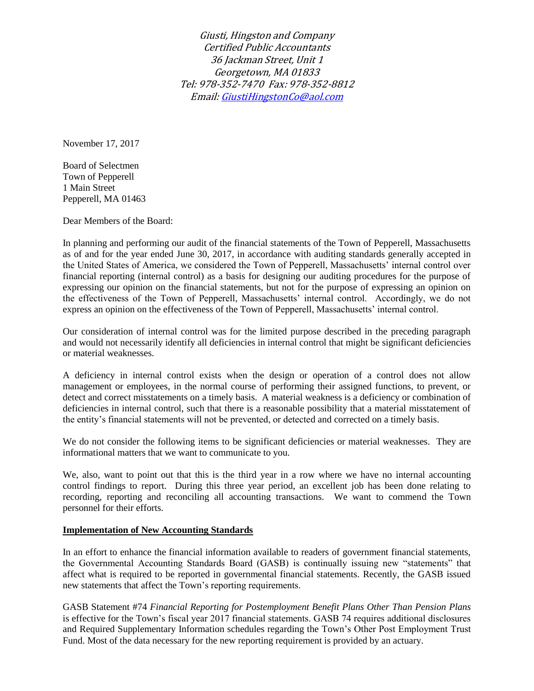Giusti, Hingston and Company Certified Public Accountants 36 Jackman Street, Unit 1 Georgetown, MA 01833 Tel: 978-352-7470 Fax: 978-352-8812 Email[: GiustiHingstonCo@aol.com](mailto:GiustiHingstonCo@aol.com)

November 17, 2017

Board of Selectmen Town of Pepperell 1 Main Street Pepperell, MA 01463

Dear Members of the Board:

In planning and performing our audit of the financial statements of the Town of Pepperell, Massachusetts as of and for the year ended June 30, 2017, in accordance with auditing standards generally accepted in the United States of America, we considered the Town of Pepperell, Massachusetts' internal control over financial reporting (internal control) as a basis for designing our auditing procedures for the purpose of expressing our opinion on the financial statements, but not for the purpose of expressing an opinion on the effectiveness of the Town of Pepperell, Massachusetts' internal control. Accordingly, we do not express an opinion on the effectiveness of the Town of Pepperell, Massachusetts' internal control.

Our consideration of internal control was for the limited purpose described in the preceding paragraph and would not necessarily identify all deficiencies in internal control that might be significant deficiencies or material weaknesses.

A deficiency in internal control exists when the design or operation of a control does not allow management or employees, in the normal course of performing their assigned functions, to prevent, or detect and correct misstatements on a timely basis. A material weakness is a deficiency or combination of deficiencies in internal control, such that there is a reasonable possibility that a material misstatement of the entity's financial statements will not be prevented, or detected and corrected on a timely basis.

We do not consider the following items to be significant deficiencies or material weaknesses. They are informational matters that we want to communicate to you.

We, also, want to point out that this is the third year in a row where we have no internal accounting control findings to report. During this three year period, an excellent job has been done relating to recording, reporting and reconciling all accounting transactions. We want to commend the Town personnel for their efforts.

## **Implementation of New Accounting Standards**

In an effort to enhance the financial information available to readers of government financial statements, the Governmental Accounting Standards Board (GASB) is continually issuing new "statements" that affect what is required to be reported in governmental financial statements. Recently, the GASB issued new statements that affect the Town's reporting requirements.

GASB Statement #74 *Financial Reporting for Postemployment Benefit Plans Other Than Pension Plans*  is effective for the Town's fiscal year 2017 financial statements. GASB 74 requires additional disclosures and Required Supplementary Information schedules regarding the Town's Other Post Employment Trust Fund. Most of the data necessary for the new reporting requirement is provided by an actuary.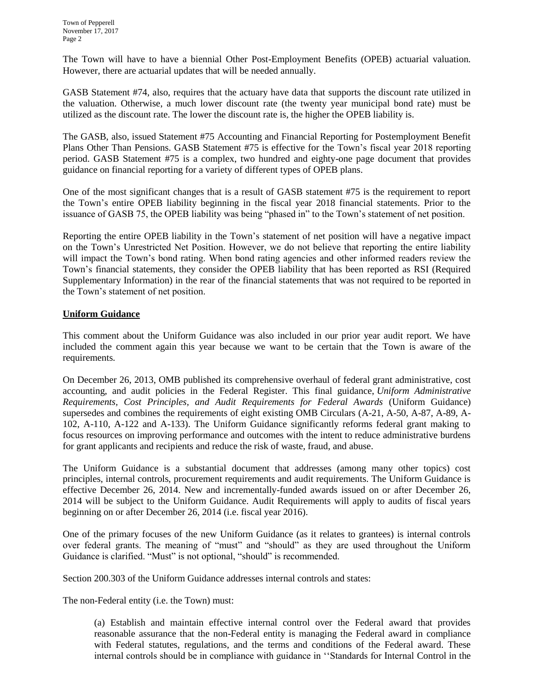The Town will have to have a biennial Other Post-Employment Benefits (OPEB) actuarial valuation. However, there are actuarial updates that will be needed annually.

GASB Statement #74, also, requires that the actuary have data that supports the discount rate utilized in the valuation. Otherwise, a much lower discount rate (the twenty year municipal bond rate) must be utilized as the discount rate. The lower the discount rate is, the higher the OPEB liability is.

The GASB, also, issued Statement #75 Accounting and Financial Reporting for Postemployment Benefit Plans Other Than Pensions. GASB Statement #75 is effective for the Town's fiscal year 2018 reporting period. GASB Statement #75 is a complex, two hundred and eighty-one page document that provides guidance on financial reporting for a variety of different types of OPEB plans.

One of the most significant changes that is a result of GASB statement #75 is the requirement to report the Town's entire OPEB liability beginning in the fiscal year 2018 financial statements. Prior to the issuance of GASB 75, the OPEB liability was being "phased in" to the Town's statement of net position.

Reporting the entire OPEB liability in the Town's statement of net position will have a negative impact on the Town's Unrestricted Net Position. However, we do not believe that reporting the entire liability will impact the Town's bond rating. When bond rating agencies and other informed readers review the Town's financial statements, they consider the OPEB liability that has been reported as RSI (Required Supplementary Information) in the rear of the financial statements that was not required to be reported in the Town's statement of net position.

## **Uniform Guidance**

This comment about the Uniform Guidance was also included in our prior year audit report. We have included the comment again this year because we want to be certain that the Town is aware of the requirements.

On December 26, 2013, OMB published its comprehensive overhaul of federal grant administrative, cost accounting, and audit policies in the Federal Register. This final guidance, *[Uniform Administrative](https://www.federalregister.gov/articles/2013/12/26/2013-30465/uniform-administrative-requirements-cost-principles-and-audit-requirements-for-federal-awards)  [Requirements, Cost Principles, and Audit Requirements for Federal Awards](https://www.federalregister.gov/articles/2013/12/26/2013-30465/uniform-administrative-requirements-cost-principles-and-audit-requirements-for-federal-awards)* (Uniform Guidance) supersedes and combines the requirements of eight existing OMB Circulars (A-21, A-50, A-87, A-89, A-102, A-110, A-122 and A-133). The Uniform Guidance significantly reforms federal grant making to focus resources on improving performance and outcomes with the intent to reduce administrative burdens for grant applicants and recipients and reduce the risk of waste, fraud, and abuse.

The Uniform Guidance is a substantial document that addresses (among many other topics) cost principles, internal controls, procurement requirements and audit requirements. The Uniform Guidance is effective December 26, 2014. New and incrementally-funded awards issued on or after December 26, 2014 will be subject to the Uniform Guidance. Audit Requirements will apply to audits of fiscal years beginning on or after December 26, 2014 (i.e. fiscal year 2016).

One of the primary focuses of the new Uniform Guidance (as it relates to grantees) is internal controls over federal grants. The meaning of "must" and "should" as they are used throughout the Uniform Guidance is clarified. "Must" is not optional, "should" is recommended.

Section 200.303 of the Uniform Guidance addresses internal controls and states:

The non-Federal entity (i.e. the Town) must:

(a) Establish and maintain effective internal control over the Federal award that provides reasonable assurance that the non-Federal entity is managing the Federal award in compliance with Federal statutes, regulations, and the terms and conditions of the Federal award. These internal controls should be in compliance with guidance in ''Standards for Internal Control in the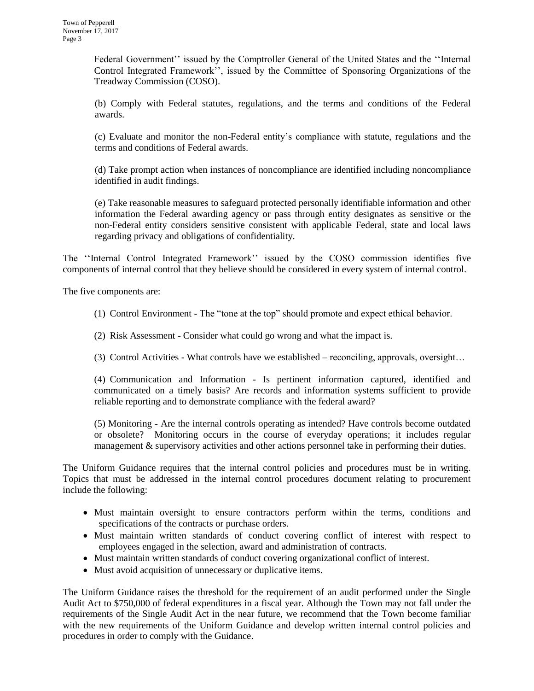Federal Government'' issued by the Comptroller General of the United States and the ''Internal Control Integrated Framework'', issued by the Committee of Sponsoring Organizations of the Treadway Commission (COSO).

(b) Comply with Federal statutes, regulations, and the terms and conditions of the Federal awards.

(c) Evaluate and monitor the non-Federal entity's compliance with statute, regulations and the terms and conditions of Federal awards.

(d) Take prompt action when instances of noncompliance are identified including noncompliance identified in audit findings.

(e) Take reasonable measures to safeguard protected personally identifiable information and other information the Federal awarding agency or pass through entity designates as sensitive or the non-Federal entity considers sensitive consistent with applicable Federal, state and local laws regarding privacy and obligations of confidentiality.

The ''Internal Control Integrated Framework'' issued by the COSO commission identifies five components of internal control that they believe should be considered in every system of internal control.

The five components are:

- (1) Control Environment The "tone at the top" should promote and expect ethical behavior.
- (2) Risk Assessment Consider what could go wrong and what the impact is.
- (3) Control Activities What controls have we established reconciling, approvals, oversight…

(4) Communication and Information - Is pertinent information captured, identified and communicated on a timely basis? Are records and information systems sufficient to provide reliable reporting and to demonstrate compliance with the federal award?

(5) Monitoring - Are the internal controls operating as intended? Have controls become outdated or obsolete? Monitoring occurs in the course of everyday operations; it includes regular management & supervisory activities and other actions personnel take in performing their duties.

The Uniform Guidance requires that the internal control policies and procedures must be in writing. Topics that must be addressed in the internal control procedures document relating to procurement include the following:

- Must maintain oversight to ensure contractors perform within the terms, conditions and specifications of the contracts or purchase orders.
- Must maintain written standards of conduct covering conflict of interest with respect to employees engaged in the selection, award and administration of contracts.
- Must maintain written standards of conduct covering organizational conflict of interest.
- Must avoid acquisition of unnecessary or duplicative items.

The Uniform Guidance raises the threshold for the requirement of an audit performed under the Single Audit Act to \$750,000 of federal expenditures in a fiscal year. Although the Town may not fall under the requirements of the Single Audit Act in the near future, we recommend that the Town become familiar with the new requirements of the Uniform Guidance and develop written internal control policies and procedures in order to comply with the Guidance.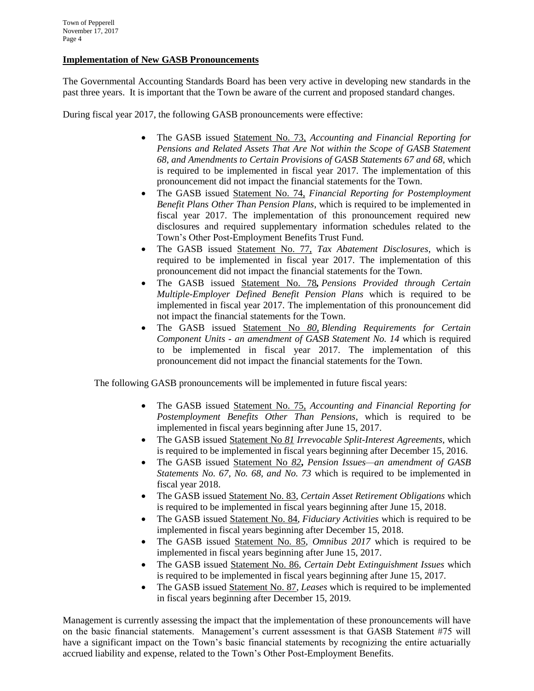## **Implementation of New GASB Pronouncements**

The Governmental Accounting Standards Board has been very active in developing new standards in the past three years. It is important that the Town be aware of the current and proposed standard changes.

During fiscal year 2017, the following GASB pronouncements were effective:

- The GASB issued Statement No. 73, *Accounting and Financial Reporting for Pensions and Related Assets That Are Not within the Scope of GASB Statement 68, and Amendments to Certain Provisions of GASB Statements 67 and 68,* which is required to be implemented in fiscal year 2017. The implementation of this pronouncement did not impact the financial statements for the Town.
- The GASB issued Statement No. 74, *Financial Reporting for Postemployment Benefit Plans Other Than Pension Plans*, which is required to be implemented in fiscal year 2017. The implementation of this pronouncement required new disclosures and required supplementary information schedules related to the Town's Other Post-Employment Benefits Trust Fund.
- The GASB issued Statement No. 77, *Tax Abatement Disclosures*, which is required to be implemented in fiscal year 2017. The implementation of this pronouncement did not impact the financial statements for the Town.
- The GASB issued Statement No. 78*, Pensions Provided through Certain Multiple-Employer Defined Benefit Pension Plans* which is required to be implemented in fiscal year 2017. The implementation of this pronouncement did not impact the financial statements for the Town.
- The GASB issued Statement No *80, Blending Requirements for Certain Component Units - an amendment of GASB Statement No. 14* which is required to be implemented in fiscal year 2017. The implementation of this pronouncement did not impact the financial statements for the Town.

The following GASB pronouncements will be implemented in future fiscal years:

- The GASB issued Statement No. 75, *Accounting and Financial Reporting for Postemployment Benefits Other Than Pensions*, which is required to be implemented in fiscal years beginning after June 15, 2017.
- The GASB issued Statement No *81 Irrevocable Split-Interest Agreements,* which is required to be implemented in fiscal years beginning after December 15, 2016.
- The GASB issued Statement No *82***,** *Pension Issues—an amendment of GASB Statements No. 67, No. 68, and No. 73* which is required to be implemented in fiscal year 2018.
- The GASB issued Statement No. 83, *Certain Asset Retirement Obligations* which is required to be implemented in fiscal years beginning after June 15, 2018.
- The GASB issued Statement No. 84, *Fiduciary Activities* which is required to be implemented in fiscal years beginning after December 15, 2018.
- The GASB issued Statement No. 85, *Omnibus 2017* which is required to be implemented in fiscal years beginning after June 15, 2017.
- The GASB issued Statement No. 86*, Certain Debt Extinguishment Issues* which is required to be implemented in fiscal years beginning after June 15, 2017.
- The GASB issued Statement No. 87, *Leases* which is required to be implemented in fiscal years beginning after December 15, 2019.

Management is currently assessing the impact that the implementation of these pronouncements will have on the basic financial statements. Management's current assessment is that GASB Statement #75 will have a significant impact on the Town's basic financial statements by recognizing the entire actuarially accrued liability and expense, related to the Town's Other Post-Employment Benefits.